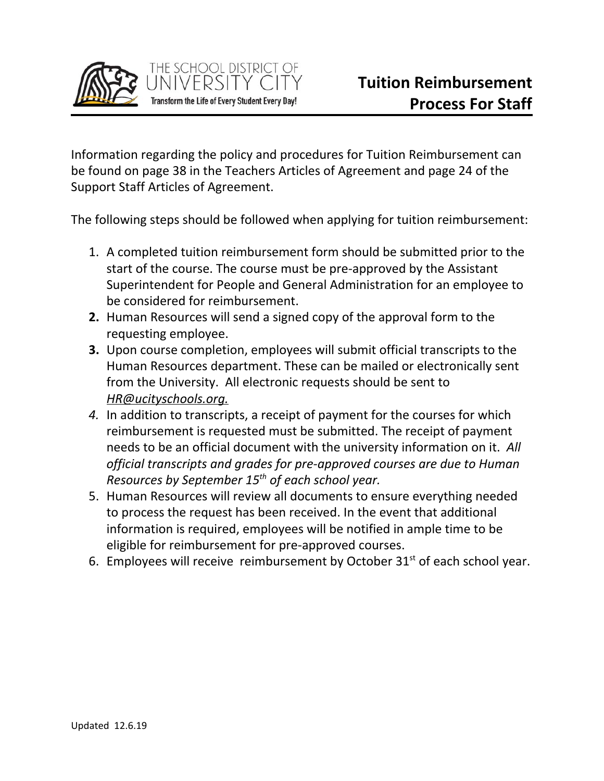

Information regarding the policy and procedures for Tuition Reimbursement can be found on page 38 in the Teachers Articles of Agreement and page 24 of the Support Staff Articles of Agreement.

The following steps should be followed when applying for tuition reimbursement:

- 1. A completed tuition reimbursement form should be submitted prior to the start of the course. The course must be pre-approved by the Assistant Superintendent for People and General Administration for an employee to be considered for reimbursement.
- **2.** Human Resources will send a signed copy of the approval form to the requesting employee.
- **3.** Upon course completion, employees will submit official transcripts to the Human Resources department. These can be mailed or electronically sent from the University. All electronic requests should be sent to *HR@ucityschools.org.*
- *4.* In addition to transcripts, a receipt of payment for the courses for which reimbursement is requested must be submitted. The receipt of payment needs to be an official document with the university information on it. *All official transcripts and grades for pre-approved courses are due to Human Resources by September 15th of each school year.*
- 5. Human Resources will review all documents to ensure everything needed to process the request has been received. In the event that additional information is required, employees will be notified in ample time to be eligible for reimbursement for pre-approved courses.
- 6. Employees will receive reimbursement by October  $31<sup>st</sup>$  of each school year.